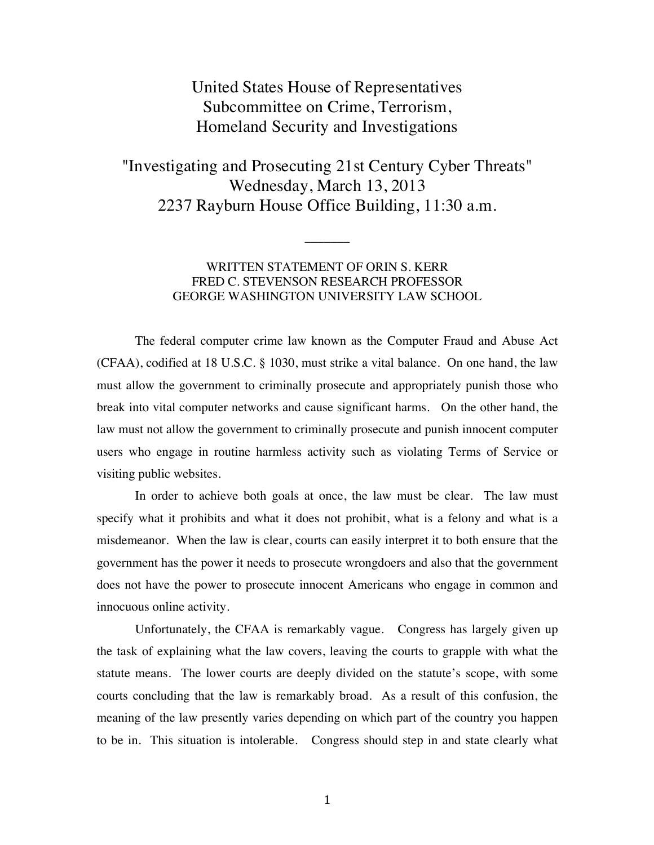# United States House of Representatives Subcommittee on Crime, Terrorism, Homeland Security and Investigations

"Investigating and Prosecuting 21st Century Cyber Threats" Wednesday, March 13, 2013 2237 Rayburn House Office Building, 11:30 a.m.

## WRITTEN STATEMENT OF ORIN S. KERR FRED C. STEVENSON RESEARCH PROFESSOR GEORGE WASHINGTON UNIVERSITY LAW SCHOOL

 $\overline{\phantom{a}}$ 

The federal computer crime law known as the Computer Fraud and Abuse Act (CFAA), codified at 18 U.S.C. § 1030, must strike a vital balance. On one hand, the law must allow the government to criminally prosecute and appropriately punish those who break into vital computer networks and cause significant harms. On the other hand, the law must not allow the government to criminally prosecute and punish innocent computer users who engage in routine harmless activity such as violating Terms of Service or visiting public websites.

In order to achieve both goals at once, the law must be clear. The law must specify what it prohibits and what it does not prohibit, what is a felony and what is a misdemeanor. When the law is clear, courts can easily interpret it to both ensure that the government has the power it needs to prosecute wrongdoers and also that the government does not have the power to prosecute innocent Americans who engage in common and innocuous online activity.

Unfortunately, the CFAA is remarkably vague. Congress has largely given up the task of explaining what the law covers, leaving the courts to grapple with what the statute means. The lower courts are deeply divided on the statute's scope, with some courts concluding that the law is remarkably broad. As a result of this confusion, the meaning of the law presently varies depending on which part of the country you happen to be in. This situation is intolerable. Congress should step in and state clearly what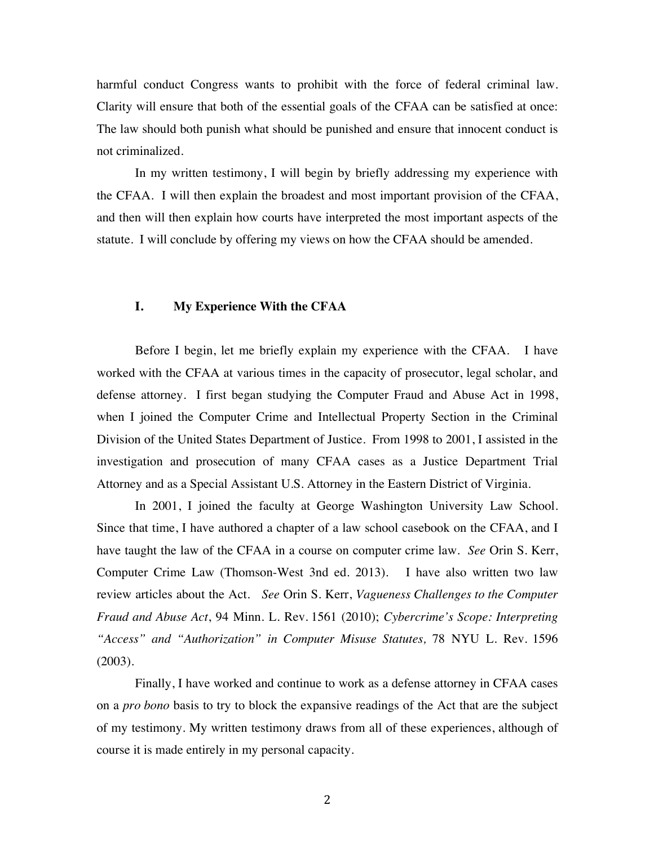harmful conduct Congress wants to prohibit with the force of federal criminal law. Clarity will ensure that both of the essential goals of the CFAA can be satisfied at once: The law should both punish what should be punished and ensure that innocent conduct is not criminalized.

In my written testimony, I will begin by briefly addressing my experience with the CFAA. I will then explain the broadest and most important provision of the CFAA, and then will then explain how courts have interpreted the most important aspects of the statute. I will conclude by offering my views on how the CFAA should be amended.

## **I. My Experience With the CFAA**

Before I begin, let me briefly explain my experience with the CFAA. I have worked with the CFAA at various times in the capacity of prosecutor, legal scholar, and defense attorney. I first began studying the Computer Fraud and Abuse Act in 1998, when I joined the Computer Crime and Intellectual Property Section in the Criminal Division of the United States Department of Justice. From 1998 to 2001, I assisted in the investigation and prosecution of many CFAA cases as a Justice Department Trial Attorney and as a Special Assistant U.S. Attorney in the Eastern District of Virginia.

In 2001, I joined the faculty at George Washington University Law School. Since that time, I have authored a chapter of a law school casebook on the CFAA, and I have taught the law of the CFAA in a course on computer crime law. *See* Orin S. Kerr, Computer Crime Law (Thomson-West 3nd ed. 2013). I have also written two law review articles about the Act. *See* Orin S. Kerr, *Vagueness Challenges to the Computer Fraud and Abuse Act*, 94 Minn. L. Rev. 1561 (2010); *Cybercrime's Scope: Interpreting "Access" and "Authorization" in Computer Misuse Statutes,* 78 NYU L. Rev. 1596 (2003).

Finally, I have worked and continue to work as a defense attorney in CFAA cases on a *pro bono* basis to try to block the expansive readings of the Act that are the subject of my testimony. My written testimony draws from all of these experiences, although of course it is made entirely in my personal capacity.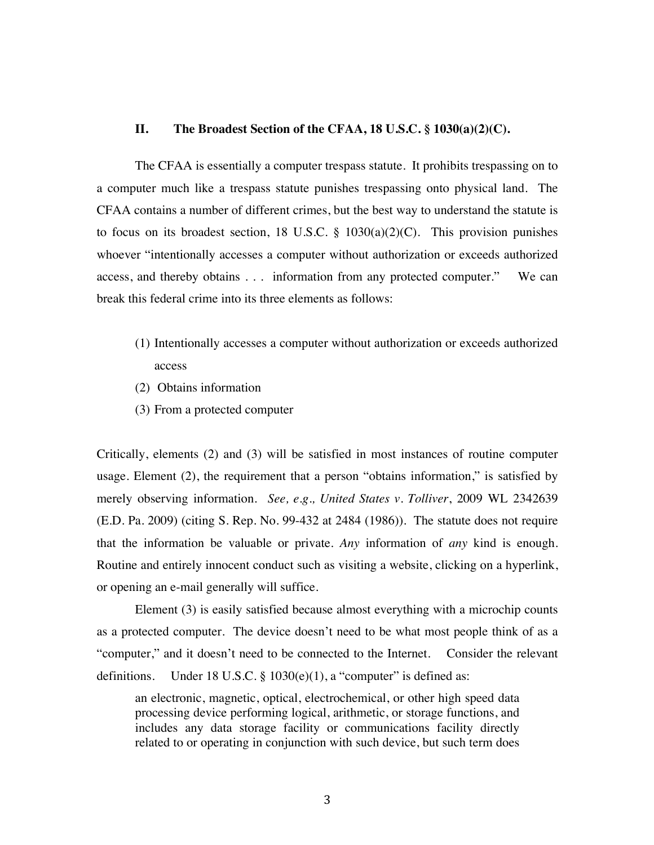### **II. The Broadest Section of the CFAA, 18 U.S.C. § 1030(a)(2)(C).**

The CFAA is essentially a computer trespass statute. It prohibits trespassing on to a computer much like a trespass statute punishes trespassing onto physical land. The CFAA contains a number of different crimes, but the best way to understand the statute is to focus on its broadest section, 18 U.S.C.  $\S$  1030(a)(2)(C). This provision punishes whoever "intentionally accesses a computer without authorization or exceeds authorized access, and thereby obtains . . . information from any protected computer." We can break this federal crime into its three elements as follows:

- (1) Intentionally accesses a computer without authorization or exceeds authorized access
- (2) Obtains information
- (3) From a protected computer

Critically, elements (2) and (3) will be satisfied in most instances of routine computer usage. Element (2), the requirement that a person "obtains information," is satisfied by merely observing information. *See, e.g., United States v. Tolliver*, 2009 WL 2342639 (E.D. Pa. 2009) (citing S. Rep. No. 99-432 at 2484 (1986)). The statute does not require that the information be valuable or private. *Any* information of *any* kind is enough. Routine and entirely innocent conduct such as visiting a website, clicking on a hyperlink, or opening an e-mail generally will suffice.

Element (3) is easily satisfied because almost everything with a microchip counts as a protected computer. The device doesn't need to be what most people think of as a "computer," and it doesn't need to be connected to the Internet. Consider the relevant definitions. Under 18 U.S.C.  $\S$  1030(e)(1), a "computer" is defined as:

an electronic, magnetic, optical, electrochemical, or other high speed data processing device performing logical, arithmetic, or storage functions, and includes any data storage facility or communications facility directly related to or operating in conjunction with such device, but such term does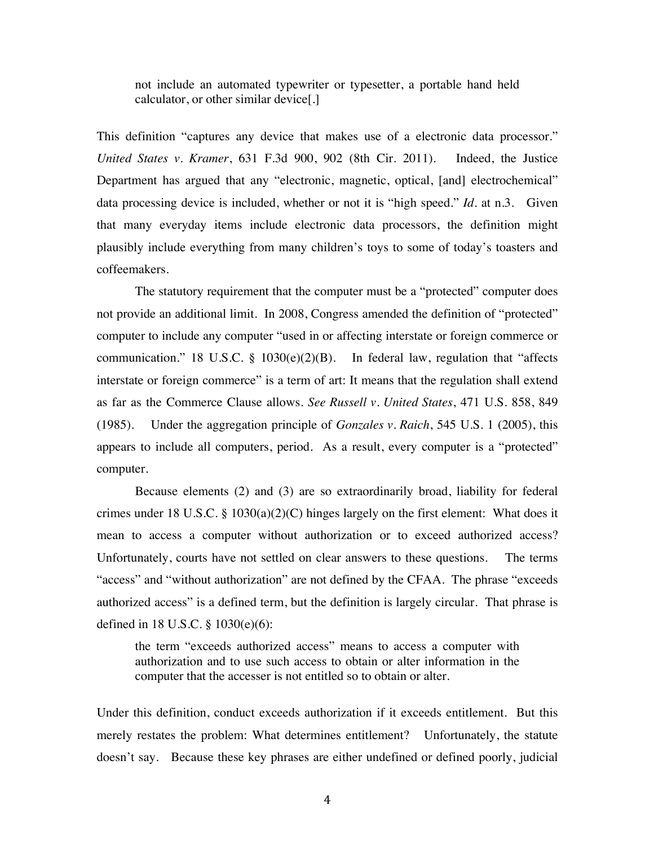not include an automated typewriter or typesetter, a portable hand held calculator, or other similar device[.]

This definition "captures any device that makes use of a electronic data processor." *United States v. Kramer*, 631 F.3d 900, 902 (8th Cir. 2011). Indeed, the Justice Department has argued that any "electronic, magnetic, optical, [and] electrochemical" data processing device is included, whether or not it is "high speed." *Id*. at n.3. Given that many everyday items include electronic data processors, the definition might plausibly include everything from many children's toys to some of today's toasters and coffeemakers.

The statutory requirement that the computer must be a "protected" computer does not provide an additional limit. In 2008, Congress amended the definition of "protected" computer to include any computer "used in or affecting interstate or foreign commerce or communication." 18 U.S.C. § 1030(e)(2)(B). In federal law, regulation that "affects interstate or foreign commerce" is a term of art: It means that the regulation shall extend as far as the Commerce Clause allows. *See Russell v. United States*, 471 U.S. 858, 849 (1985). Under the aggregation principle of *Gonzales v. Raich*, 545 U.S. 1 (2005), this appears to include all computers, period. As a result, every computer is a "protected" computer.

Because elements (2) and (3) are so extraordinarily broad, liability for federal crimes under 18 U.S.C.  $\S$  1030(a)(2)(C) hinges largely on the first element: What does it mean to access a computer without authorization or to exceed authorized access? Unfortunately, courts have not settled on clear answers to these questions. The terms "access" and "without authorization" are not defined by the CFAA. The phrase "exceeds authorized access" is a defined term, but the definition is largely circular. That phrase is defined in 18 U.S.C. § 1030(e)(6):

the term "exceeds authorized access" means to access a computer with authorization and to use such access to obtain or alter information in the computer that the accesser is not entitled so to obtain or alter.

Under this definition, conduct exceeds authorization if it exceeds entitlement. But this merely restates the problem: What determines entitlement? Unfortunately, the statute doesn't say. Because these key phrases are either undefined or defined poorly, judicial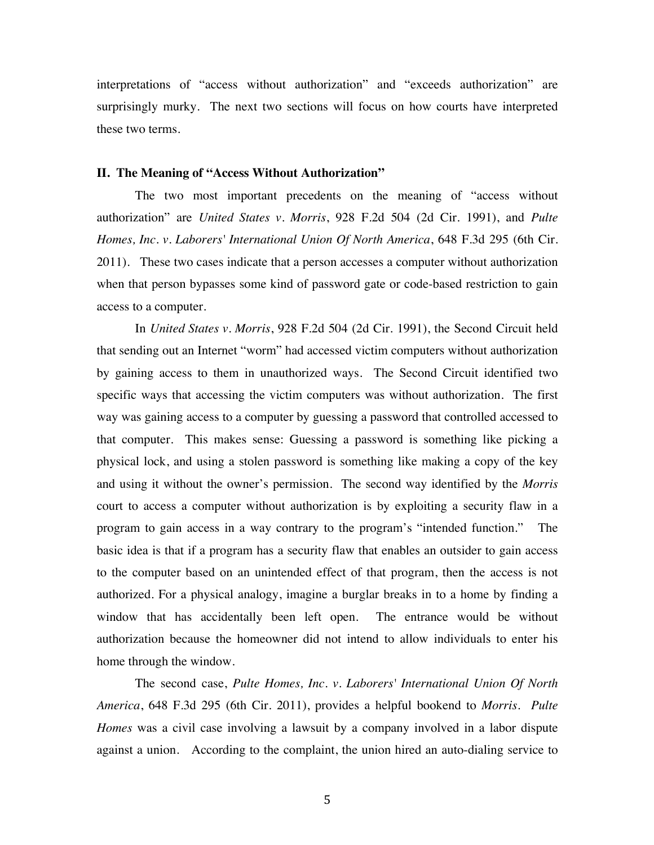interpretations of "access without authorization" and "exceeds authorization" are surprisingly murky. The next two sections will focus on how courts have interpreted these two terms.

#### **II. The Meaning of "Access Without Authorization"**

The two most important precedents on the meaning of "access without authorization" are *United States v. Morris*, 928 F.2d 504 (2d Cir. 1991), and *Pulte Homes, Inc. v. Laborers' International Union Of North America*, 648 F.3d 295 (6th Cir. 2011). These two cases indicate that a person accesses a computer without authorization when that person bypasses some kind of password gate or code-based restriction to gain access to a computer.

In *United States v. Morris*, 928 F.2d 504 (2d Cir. 1991), the Second Circuit held that sending out an Internet "worm" had accessed victim computers without authorization by gaining access to them in unauthorized ways. The Second Circuit identified two specific ways that accessing the victim computers was without authorization. The first way was gaining access to a computer by guessing a password that controlled accessed to that computer. This makes sense: Guessing a password is something like picking a physical lock, and using a stolen password is something like making a copy of the key and using it without the owner's permission. The second way identified by the *Morris* court to access a computer without authorization is by exploiting a security flaw in a program to gain access in a way contrary to the program's "intended function." The basic idea is that if a program has a security flaw that enables an outsider to gain access to the computer based on an unintended effect of that program, then the access is not authorized. For a physical analogy, imagine a burglar breaks in to a home by finding a window that has accidentally been left open. The entrance would be without authorization because the homeowner did not intend to allow individuals to enter his home through the window.

The second case, *Pulte Homes, Inc. v. Laborers' International Union Of North America*, 648 F.3d 295 (6th Cir. 2011), provides a helpful bookend to *Morris*. *Pulte Homes* was a civil case involving a lawsuit by a company involved in a labor dispute against a union. According to the complaint, the union hired an auto-dialing service to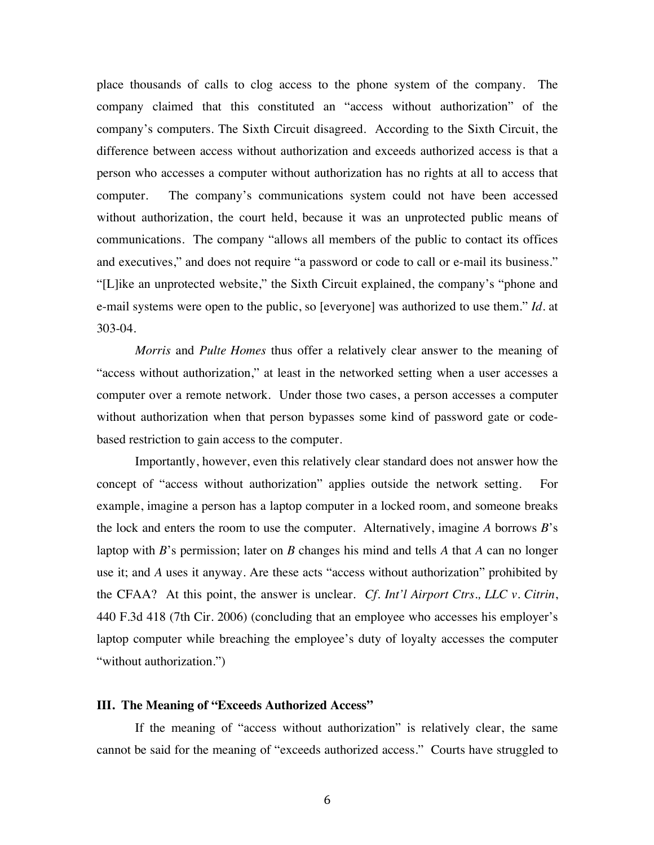place thousands of calls to clog access to the phone system of the company. The company claimed that this constituted an "access without authorization" of the company's computers. The Sixth Circuit disagreed. According to the Sixth Circuit, the difference between access without authorization and exceeds authorized access is that a person who accesses a computer without authorization has no rights at all to access that computer. The company's communications system could not have been accessed without authorization, the court held, because it was an unprotected public means of communications. The company "allows all members of the public to contact its offices and executives," and does not require "a password or code to call or e-mail its business." "[L]ike an unprotected website," the Sixth Circuit explained, the company's "phone and e-mail systems were open to the public, so [everyone] was authorized to use them." *Id.* at 303-04.

*Morris* and *Pulte Homes* thus offer a relatively clear answer to the meaning of "access without authorization," at least in the networked setting when a user accesses a computer over a remote network. Under those two cases, a person accesses a computer without authorization when that person bypasses some kind of password gate or codebased restriction to gain access to the computer.

Importantly, however, even this relatively clear standard does not answer how the concept of "access without authorization" applies outside the network setting. For example, imagine a person has a laptop computer in a locked room, and someone breaks the lock and enters the room to use the computer. Alternatively, imagine *A* borrows *B*'s laptop with *B*'s permission; later on *B* changes his mind and tells *A* that *A* can no longer use it; and *A* uses it anyway. Are these acts "access without authorization" prohibited by the CFAA? At this point, the answer is unclear. *Cf. Int'l Airport Ctrs., LLC v. Citrin*, 440 F.3d 418 (7th Cir. 2006) (concluding that an employee who accesses his employer's laptop computer while breaching the employee's duty of loyalty accesses the computer "without authorization.")

#### **III. The Meaning of "Exceeds Authorized Access"**

If the meaning of "access without authorization" is relatively clear, the same cannot be said for the meaning of "exceeds authorized access." Courts have struggled to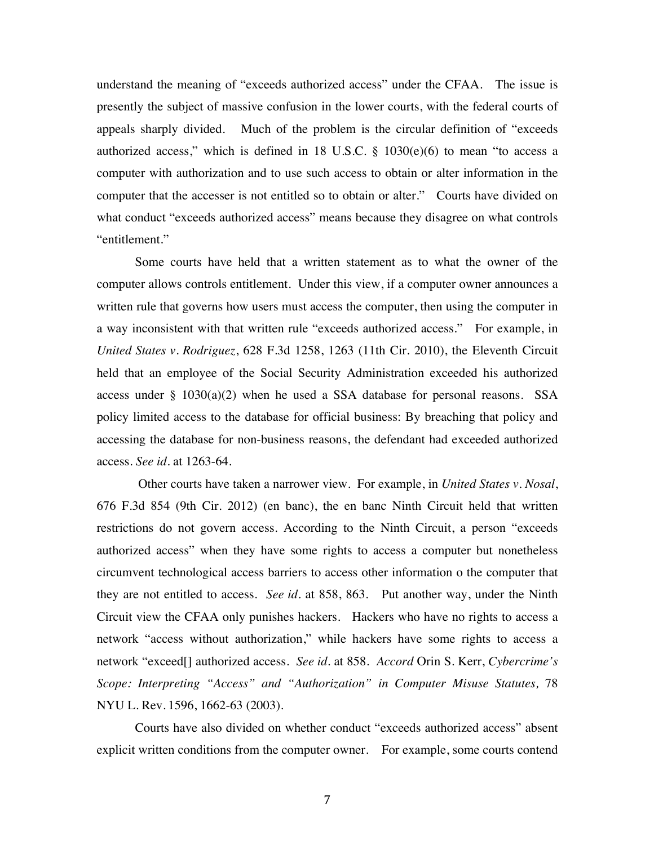understand the meaning of "exceeds authorized access" under the CFAA. The issue is presently the subject of massive confusion in the lower courts, with the federal courts of appeals sharply divided. Much of the problem is the circular definition of "exceeds authorized access," which is defined in 18 U.S.C.  $\S$  1030(e)(6) to mean "to access a computer with authorization and to use such access to obtain or alter information in the computer that the accesser is not entitled so to obtain or alter." Courts have divided on what conduct "exceeds authorized access" means because they disagree on what controls "entitlement."

Some courts have held that a written statement as to what the owner of the computer allows controls entitlement. Under this view, if a computer owner announces a written rule that governs how users must access the computer, then using the computer in a way inconsistent with that written rule "exceeds authorized access." For example, in *United States v. Rodriguez*, 628 F.3d 1258, 1263 (11th Cir. 2010), the Eleventh Circuit held that an employee of the Social Security Administration exceeded his authorized access under  $\S$  1030(a)(2) when he used a SSA database for personal reasons. SSA policy limited access to the database for official business: By breaching that policy and accessing the database for non-business reasons, the defendant had exceeded authorized access. *See id.* at 1263-64.

Other courts have taken a narrower view. For example, in *United States v. Nosal*, 676 F.3d 854 (9th Cir. 2012) (en banc), the en banc Ninth Circuit held that written restrictions do not govern access. According to the Ninth Circuit, a person "exceeds authorized access" when they have some rights to access a computer but nonetheless circumvent technological access barriers to access other information o the computer that they are not entitled to access. *See id.* at 858, 863. Put another way, under the Ninth Circuit view the CFAA only punishes hackers. Hackers who have no rights to access a network "access without authorization," while hackers have some rights to access a network "exceed[] authorized access. *See id.* at 858. *Accord* Orin S. Kerr, *Cybercrime's Scope: Interpreting "Access" and "Authorization" in Computer Misuse Statutes, 78* NYU L. Rev. 1596, 1662-63 (2003).

Courts have also divided on whether conduct "exceeds authorized access" absent explicit written conditions from the computer owner. For example, some courts contend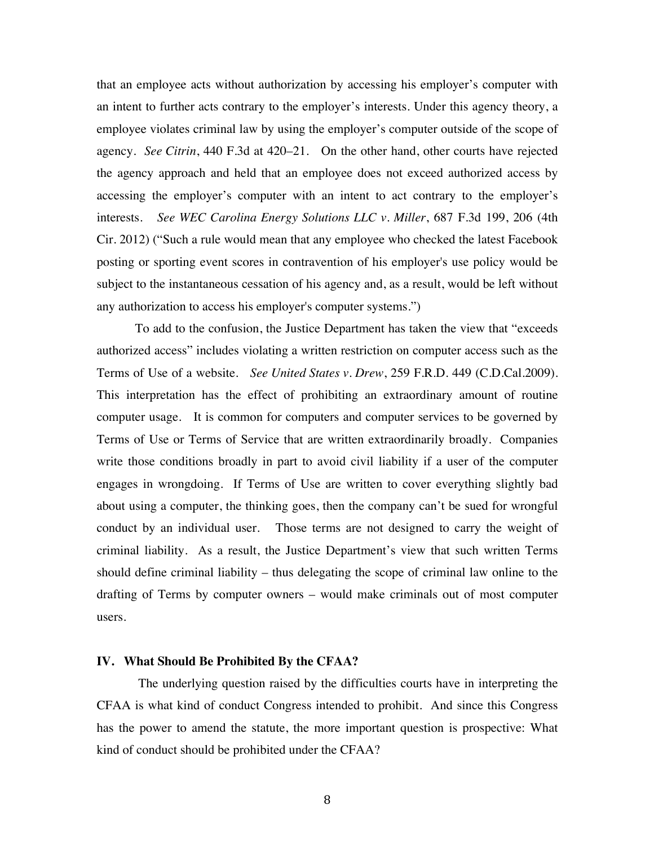that an employee acts without authorization by accessing his employer's computer with an intent to further acts contrary to the employer's interests. Under this agency theory, a employee violates criminal law by using the employer's computer outside of the scope of agency. *See Citrin*, 440 F.3d at 420–21. On the other hand, other courts have rejected the agency approach and held that an employee does not exceed authorized access by accessing the employer's computer with an intent to act contrary to the employer's interests. *See WEC Carolina Energy Solutions LLC v. Miller*, 687 F.3d 199, 206 (4th Cir. 2012) ("Such a rule would mean that any employee who checked the latest Facebook posting or sporting event scores in contravention of his employer's use policy would be subject to the instantaneous cessation of his agency and, as a result, would be left without any authorization to access his employer's computer systems.")

To add to the confusion, the Justice Department has taken the view that "exceeds authorized access" includes violating a written restriction on computer access such as the Terms of Use of a website. *See United States v. Drew*, 259 F.R.D. 449 (C.D.Cal.2009). This interpretation has the effect of prohibiting an extraordinary amount of routine computer usage. It is common for computers and computer services to be governed by Terms of Use or Terms of Service that are written extraordinarily broadly. Companies write those conditions broadly in part to avoid civil liability if a user of the computer engages in wrongdoing. If Terms of Use are written to cover everything slightly bad about using a computer, the thinking goes, then the company can't be sued for wrongful conduct by an individual user. Those terms are not designed to carry the weight of criminal liability. As a result, the Justice Department's view that such written Terms should define criminal liability – thus delegating the scope of criminal law online to the drafting of Terms by computer owners – would make criminals out of most computer users.

#### **IV. What Should Be Prohibited By the CFAA?**

The underlying question raised by the difficulties courts have in interpreting the CFAA is what kind of conduct Congress intended to prohibit. And since this Congress has the power to amend the statute, the more important question is prospective: What kind of conduct should be prohibited under the CFAA?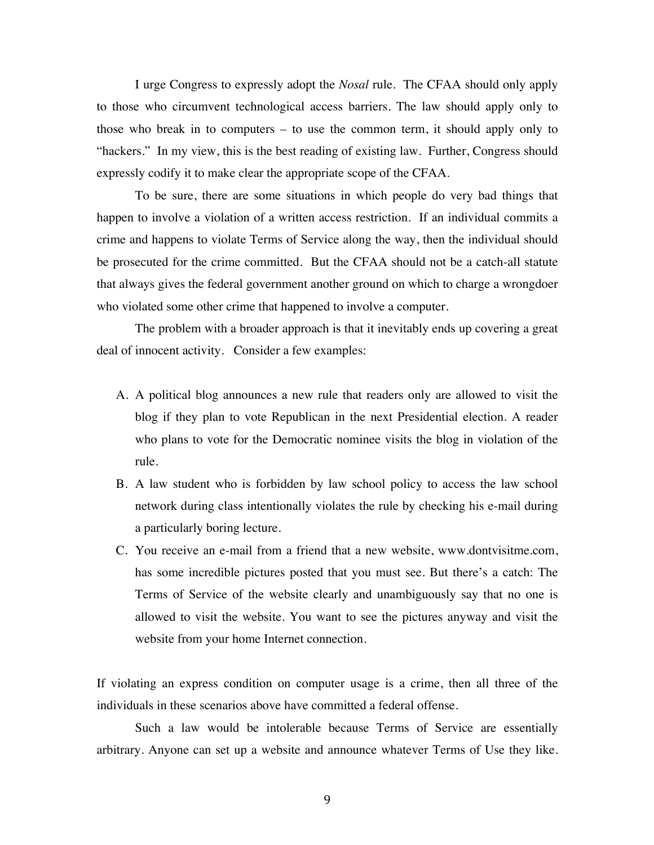I urge Congress to expressly adopt the *Nosal* rule. The CFAA should only apply to those who circumvent technological access barriers. The law should apply only to those who break in to computers – to use the common term, it should apply only to "hackers." In my view, this is the best reading of existing law. Further, Congress should expressly codify it to make clear the appropriate scope of the CFAA.

To be sure, there are some situations in which people do very bad things that happen to involve a violation of a written access restriction. If an individual commits a crime and happens to violate Terms of Service along the way, then the individual should be prosecuted for the crime committed. But the CFAA should not be a catch-all statute that always gives the federal government another ground on which to charge a wrongdoer who violated some other crime that happened to involve a computer.

The problem with a broader approach is that it inevitably ends up covering a great deal of innocent activity. Consider a few examples:

- A. A political blog announces a new rule that readers only are allowed to visit the blog if they plan to vote Republican in the next Presidential election. A reader who plans to vote for the Democratic nominee visits the blog in violation of the rule.
- B. A law student who is forbidden by law school policy to access the law school network during class intentionally violates the rule by checking his e-mail during a particularly boring lecture.
- C. You receive an e-mail from a friend that a new website, www.dontvisitme.com, has some incredible pictures posted that you must see. But there's a catch: The Terms of Service of the website clearly and unambiguously say that no one is allowed to visit the website. You want to see the pictures anyway and visit the website from your home Internet connection.

If violating an express condition on computer usage is a crime, then all three of the individuals in these scenarios above have committed a federal offense.

Such a law would be intolerable because Terms of Service are essentially arbitrary. Anyone can set up a website and announce whatever Terms of Use they like.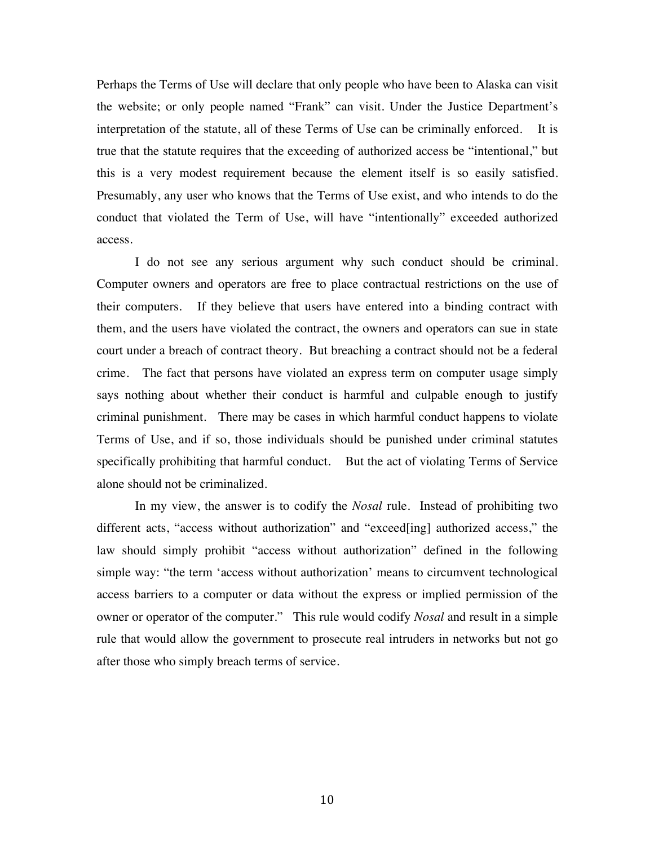Perhaps the Terms of Use will declare that only people who have been to Alaska can visit the website; or only people named "Frank" can visit. Under the Justice Department's interpretation of the statute, all of these Terms of Use can be criminally enforced. It is true that the statute requires that the exceeding of authorized access be "intentional," but this is a very modest requirement because the element itself is so easily satisfied. Presumably, any user who knows that the Terms of Use exist, and who intends to do the conduct that violated the Term of Use, will have "intentionally" exceeded authorized access.

I do not see any serious argument why such conduct should be criminal. Computer owners and operators are free to place contractual restrictions on the use of their computers. If they believe that users have entered into a binding contract with them, and the users have violated the contract, the owners and operators can sue in state court under a breach of contract theory. But breaching a contract should not be a federal crime. The fact that persons have violated an express term on computer usage simply says nothing about whether their conduct is harmful and culpable enough to justify criminal punishment. There may be cases in which harmful conduct happens to violate Terms of Use, and if so, those individuals should be punished under criminal statutes specifically prohibiting that harmful conduct. But the act of violating Terms of Service alone should not be criminalized.

In my view, the answer is to codify the *Nosal* rule. Instead of prohibiting two different acts, "access without authorization" and "exceed[ing] authorized access," the law should simply prohibit "access without authorization" defined in the following simple way: "the term 'access without authorization' means to circumvent technological access barriers to a computer or data without the express or implied permission of the owner or operator of the computer." This rule would codify *Nosal* and result in a simple rule that would allow the government to prosecute real intruders in networks but not go after those who simply breach terms of service.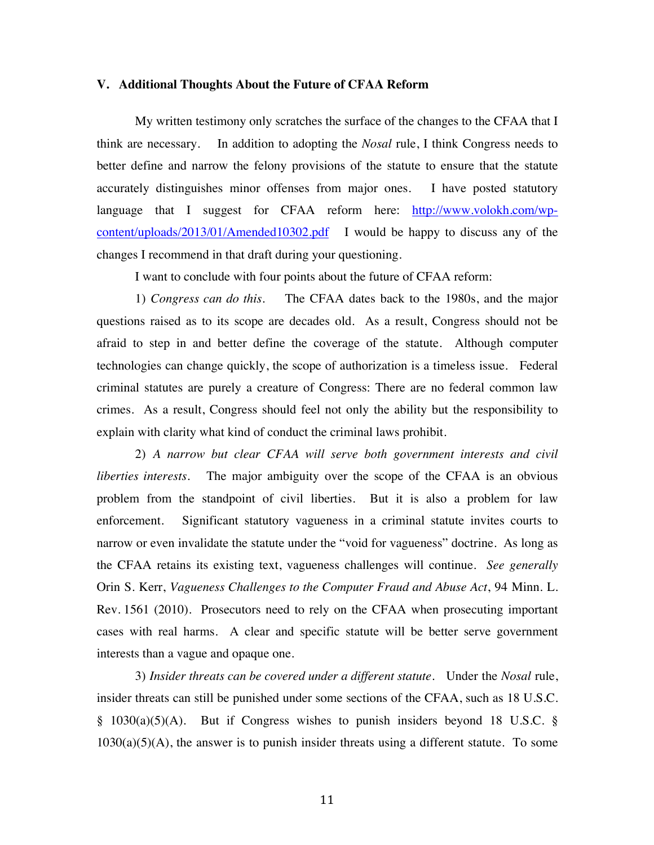#### **V. Additional Thoughts About the Future of CFAA Reform**

My written testimony only scratches the surface of the changes to the CFAA that I think are necessary. In addition to adopting the *Nosal* rule, I think Congress needs to better define and narrow the felony provisions of the statute to ensure that the statute accurately distinguishes minor offenses from major ones. I have posted statutory language that I suggest for CFAA reform here: http://www.volokh.com/wpcontent/uploads/2013/01/Amended10302.pdf I would be happy to discuss any of the changes I recommend in that draft during your questioning.

I want to conclude with four points about the future of CFAA reform:

1) *Congress can do this*. The CFAA dates back to the 1980s, and the major questions raised as to its scope are decades old. As a result, Congress should not be afraid to step in and better define the coverage of the statute. Although computer technologies can change quickly, the scope of authorization is a timeless issue. Federal criminal statutes are purely a creature of Congress: There are no federal common law crimes. As a result, Congress should feel not only the ability but the responsibility to explain with clarity what kind of conduct the criminal laws prohibit.

2) *A narrow but clear CFAA will serve both government interests and civil liberties interests.* The major ambiguity over the scope of the CFAA is an obvious problem from the standpoint of civil liberties. But it is also a problem for law enforcement. Significant statutory vagueness in a criminal statute invites courts to narrow or even invalidate the statute under the "void for vagueness" doctrine. As long as the CFAA retains its existing text, vagueness challenges will continue. *See generally* Orin S. Kerr, *Vagueness Challenges to the Computer Fraud and Abuse Act*, 94 Minn. L. Rev. 1561 (2010). Prosecutors need to rely on the CFAA when prosecuting important cases with real harms. A clear and specific statute will be better serve government interests than a vague and opaque one.

3) *Insider threats can be covered under a different statute.* Under the *Nosal* rule, insider threats can still be punished under some sections of the CFAA, such as 18 U.S.C. § 1030(a)(5)(A). But if Congress wishes to punish insiders beyond 18 U.S.C. §  $1030(a)(5)(A)$ , the answer is to punish insider threats using a different statute. To some